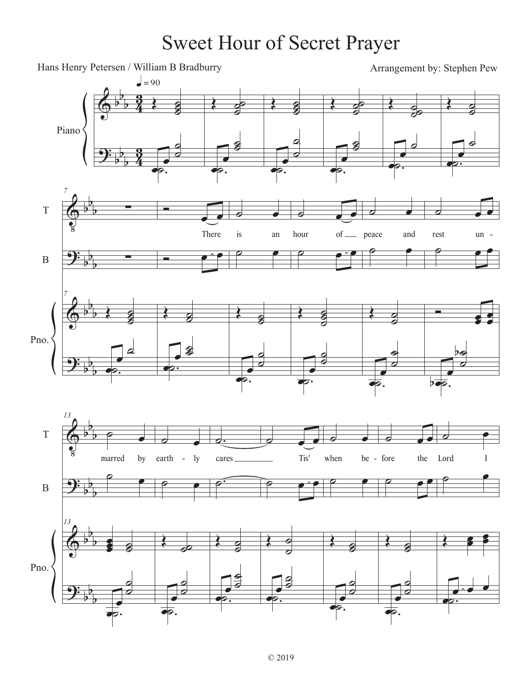## Sweet Hour of Secret Prayer

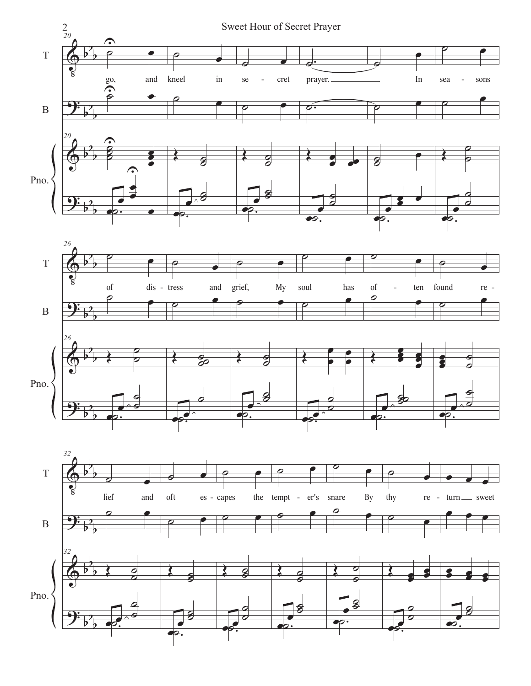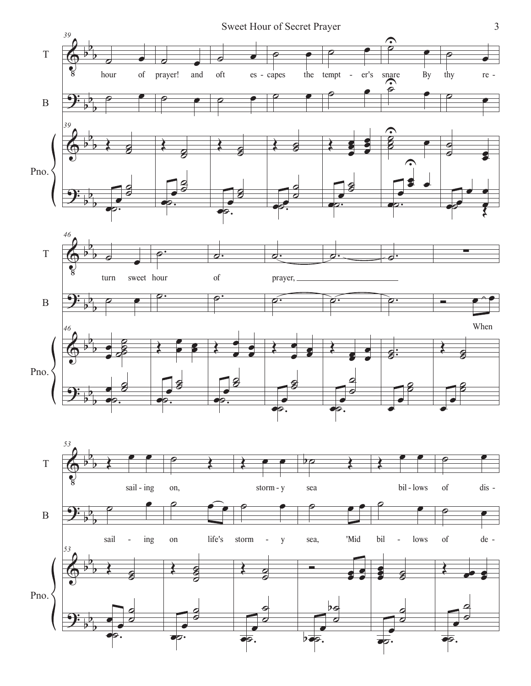



œ

 $\overline{\sigma}$ .

œ

 $\frac{1}{\sigma}$ .

œ

œ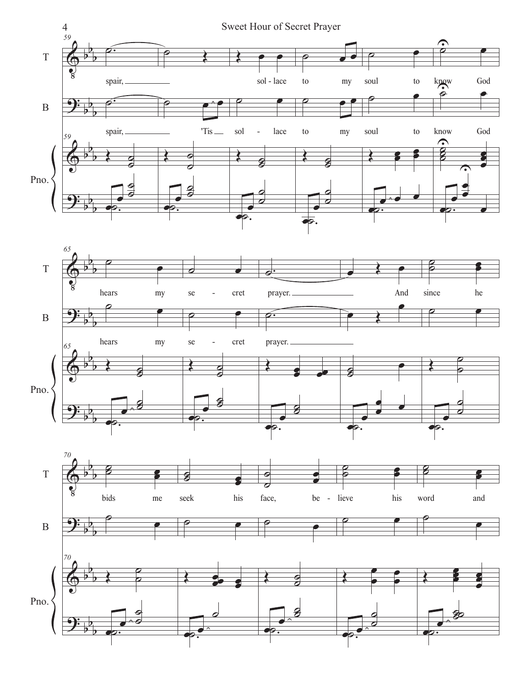



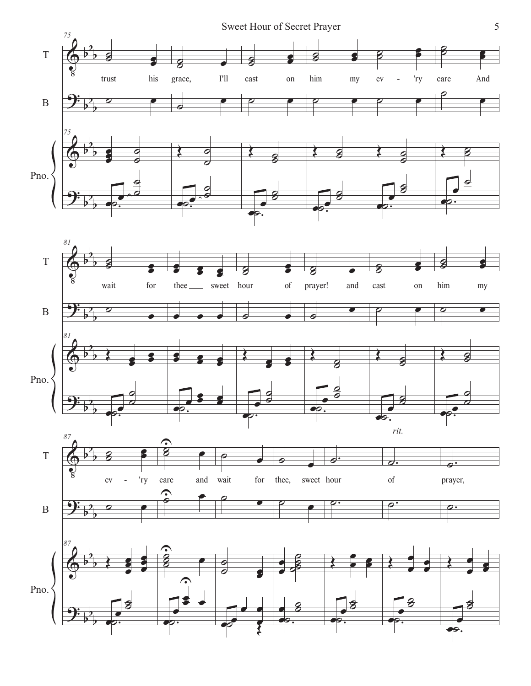